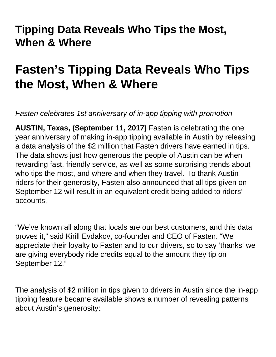# **Tipping Data Reveals Who Tips the Most, When & Where**

# **Fasten's Tipping Data Reveals Who Tips the Most, When & Where**

Fasten celebrates 1st anniversary of in-app tipping with promotion

**AUSTIN, Texas, (September 11, 2017)** Fasten is celebrating the one year anniversary of making in-app tipping available in Austin by releasing a data analysis of the \$2 million that Fasten drivers have earned in tips. The data shows just how generous the people of Austin can be when rewarding fast, friendly service, as well as some surprising trends about who tips the most, and where and when they travel. To thank Austin riders for their generosity, Fasten also announced that all tips given on September 12 will result in an equivalent credit being added to riders' accounts.

"We've known all along that locals are our best customers, and this data proves it," said Kirill Evdakov, co-founder and CEO of Fasten. "We appreciate their loyalty to Fasten and to our drivers, so to say 'thanks' we are giving everybody ride credits equal to the amount they tip on September 12."

The analysis of \$2 million in tips given to drivers in Austin since the in-app tipping feature became available shows a number of revealing patterns about Austin's generosity: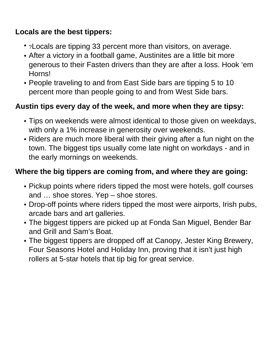## **Locals are the best tippers:**

- ?Locals are tipping 33 percent more than visitors, on average.
- After a victory in a football game, Austinites are a little bit more generous to their Fasten drivers than they are after a loss. Hook 'em Horns!
- People traveling to and from East Side bars are tipping 5 to 10 percent more than people going to and from West Side bars.

#### **Austin tips every day of the week, and more when they are tipsy:**

- Tips on weekends were almost identical to those given on weekdays, with only a 1% increase in generosity over weekends.
- Riders are much more liberal with their giving after a fun night on the town. The biggest tips usually come late night on workdays - and in the early mornings on weekends.

## **Where the big tippers are coming from, and where they are going:**

- Pickup points where riders tipped the most were hotels, golf courses and … shoe stores. Yep – shoe stores.
- Drop-off points where riders tipped the most were airports, Irish pubs, arcade bars and art galleries.
- The biggest tippers are picked up at Fonda San Miguel, Bender Bar and Grill and Sam's Boat.
- The biggest tippers are dropped off at Canopy, Jester King Brewery, Four Seasons Hotel and Holiday Inn, proving that it isn't just high rollers at 5-star hotels that tip big for great service.